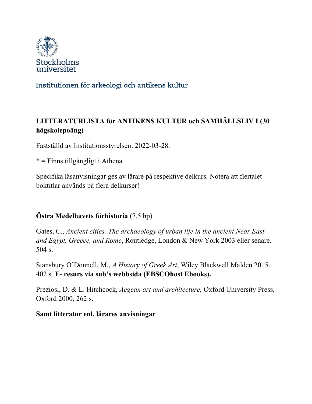

# Institutionen för arkeologi och antikens kultur

# **LITTERATURLISTA för ANTIKENS KULTUR och SAMHÄLLSLIV I (30 högskolepoäng)**

Fastställd av Institutionsstyrelsen: 2022-03-28.

\* = Finns tillgängligt i Athena

Specifika läsanvisningar ges av lärare på respektive delkurs. Notera att flertalet boktitlar används på flera delkurser!

### **Östra Medelhavets förhistoria** (7.5 hp)

Gates, C., *Ancient cities. The archaeology of urban life in the ancient Near East and Egypt, Greece, and Rome*, Routledge, London & New York 2003 eller senare. 504 s.

Stansbury O'Donnell, M., *A History of Greek Art*, Wiley Blackwell Malden 2015. 402 s. **E- resurs via sub's webbsida (EBSCOhost Ebooks).** 

Preziosi, D. & L. Hitchcock, *Aegean art and architecture,* Oxford University Press, Oxford 2000, 262 s.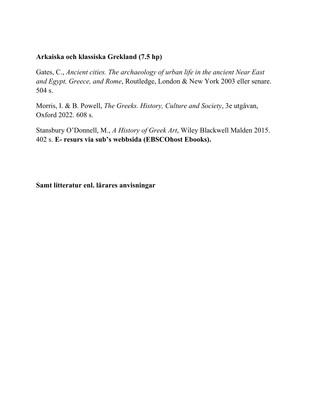#### **Arkaiska och klassiska Grekland (7.5 hp)**

Gates, C., *Ancient cities. The archaeology of urban life in the ancient Near East and Egypt, Greece, and Rome*, Routledge, London & New York 2003 eller senare. 504 s.

Morris, I. & B. Powell, *The Greeks. History, Culture and Society*, 3e utgåvan, Oxford 2022. 608 s.

Stansbury O'Donnell, M., *A History of Greek Art*, Wiley Blackwell Malden 2015. 402 s. **E- resurs via sub's webbsida (EBSCOhost Ebooks).**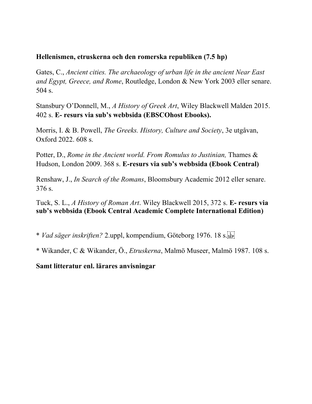#### **Hellenismen, etruskerna och den romerska republiken (7.5 hp)**

Gates, C., *Ancient cities. The archaeology of urban life in the ancient Near East and Egypt, Greece, and Rome*, Routledge, London & New York 2003 eller senare. 504 s.

Stansbury O'Donnell, M., *A History of Greek Art*, Wiley Blackwell Malden 2015. 402 s. **E- resurs via sub's webbsida (EBSCOhost Ebooks).** 

Morris, I. & B. Powell, *The Greeks. History, Culture and Society*, 3e utgåvan, Oxford 2022. 608 s.

Potter, D., *Rome in the Ancient world. From Romulus to Justinian*, Thames & Hudson, London 2009. 368 s. **E-resurs via sub's webbsida (Ebook Central)**

Renshaw, J., *In Search of the Romans*, Bloomsbury Academic 2012 eller senare. 376 s.

Tuck, S. L., *A History of Roman Art*. Wiley Blackwell 2015, 372 s. **E- resurs via sub's webbsida (Ebook Central Academic Complete International Edition)**

\* *Vad säger inskriften?* 2.uppl, kompendium, Göteborg 1976. 18 s.

\* Wikander, C & Wikander, Ö., *Etruskerna*, Malmö Museer, Malmö 1987. 108 s.